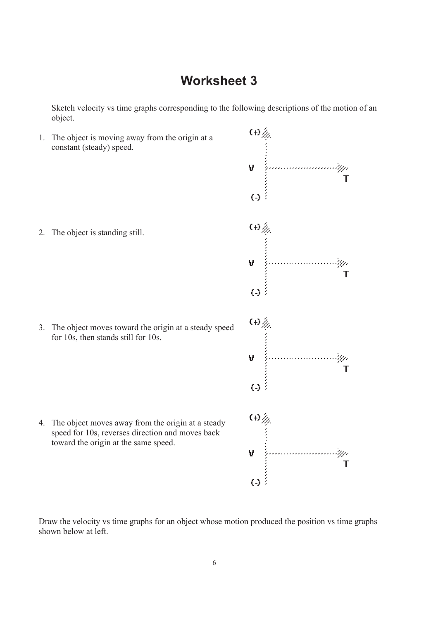Sketch velocity vs time graphs corresponding to the following descriptions of the motion of an object.



Draw the velocity vs time graphs for an object whose motion produced the position vs time graphs shown below at left.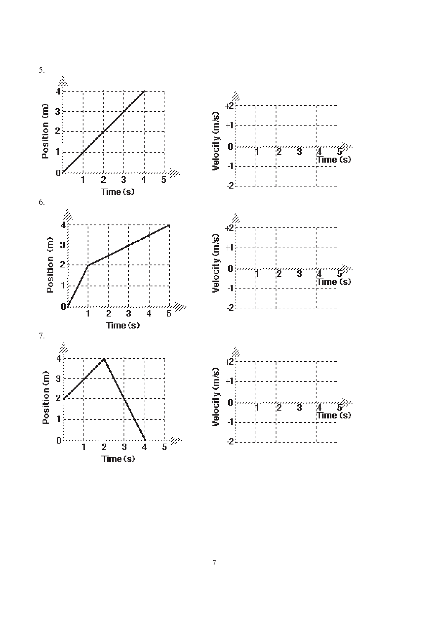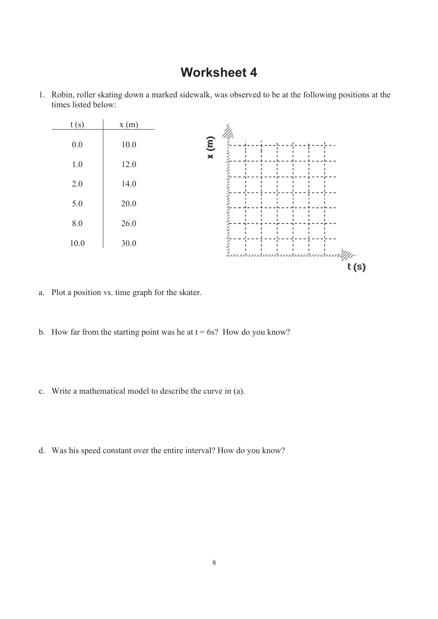

1. Robin, roller skating down a marked sidewalk, was observed to be at the following positions at the times listed below:

- a. Plot a position vs. time graph for the skater.
- b. How far from the starting point was he at  $t = 6s$ ? How do you know?
- c. Write a mathematical model to describe the curve in (a).
- d. Was his speed constant over the entire interval? How do you know?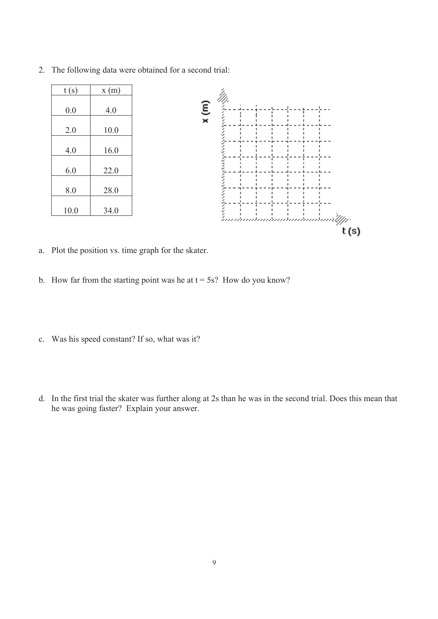

2. The following data were obtained for a second trial:

- a. Plot the position vs. time graph for the skater.
- b. How far from the starting point was he at  $t = 5s$ ? How do you know?
- c. Was his speed constant? If so, what was it?
- d. In the first trial the skater was further along at 2s than he was in the second trial. Does this mean that he was going faster? Explain your answer.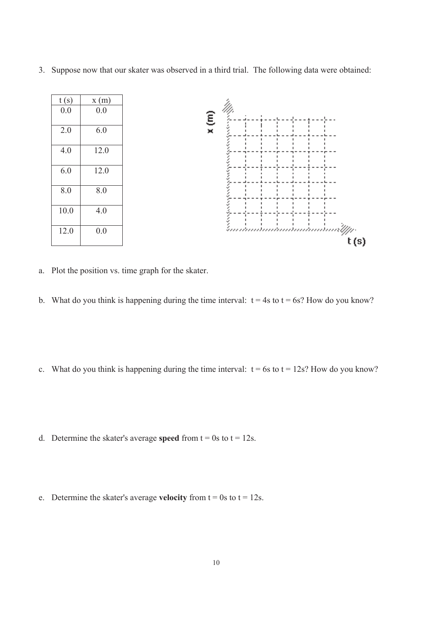3. Suppose now that our skater was observed in a third trial. The following data were obtained:



- a. Plot the position vs. time graph for the skater.
- b. What do you think is happening during the time interval:  $t = 4s$  to  $t = 6s$ ? How do you know?
- c. What do you think is happening during the time interval:  $t = 6s$  to  $t = 12s$ ? How do you know?
- d. Determine the skater's average **speed** from  $t = 0s$  to  $t = 12s$ .
- e. Determine the skater's average **velocity** from  $t = 0s$  to  $t = 12s$ .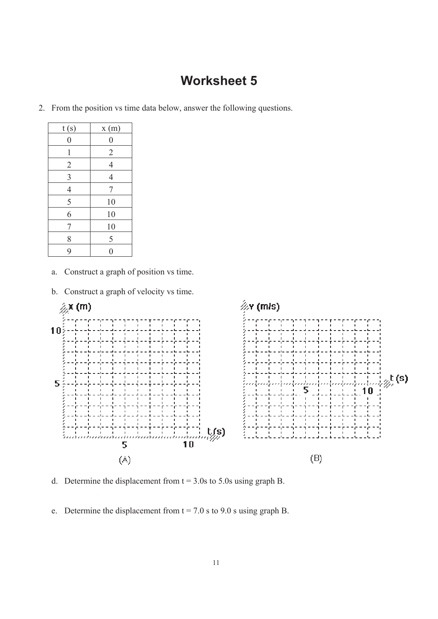2. From the position vs time data below, answer the following questions.

| t(s)                    | x(m)             |
|-------------------------|------------------|
| $\overline{0}$          | $\boldsymbol{0}$ |
| 1                       | $\overline{2}$   |
| $\overline{2}$          | $\overline{4}$   |
| $\overline{\mathbf{3}}$ | $\overline{4}$   |
| $\overline{4}$          | 7                |
| 5                       | 10               |
| 6                       | 10               |
| 7                       | 10               |
| 8                       | 5                |
| 9                       | ſ                |

- a. Construct a graph of position vs time.
- b. Construct a graph of velocity vs time.



- d. Determine the displacement from  $t = 3.0s$  to 5.0s using graph B.
- e. Determine the displacement from  $t = 7.0$  s to 9.0 s using graph B.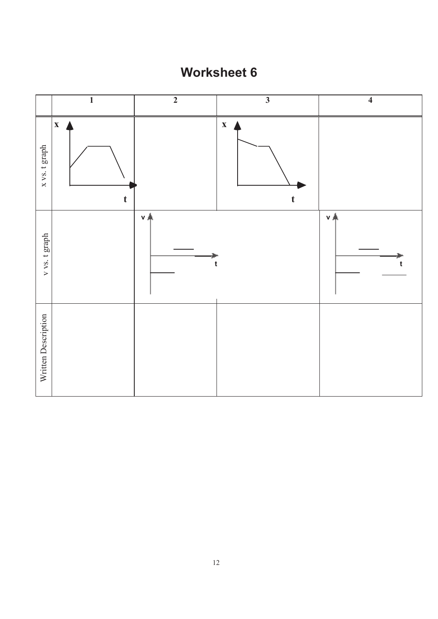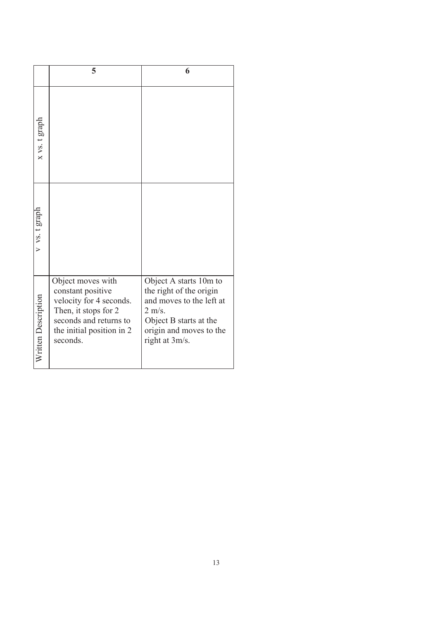|                     | 5                                                                                                                                                            | 6                                                                                                                                                                        |
|---------------------|--------------------------------------------------------------------------------------------------------------------------------------------------------------|--------------------------------------------------------------------------------------------------------------------------------------------------------------------------|
| x vs. t graph       |                                                                                                                                                              |                                                                                                                                                                          |
| $v$ vs. t graph     |                                                                                                                                                              |                                                                                                                                                                          |
| Written Description | Object moves with<br>constant positive<br>velocity for 4 seconds.<br>Then, it stops for 2<br>seconds and returns to<br>the initial position in 2<br>seconds. | Object A starts 10m to<br>the right of the origin<br>and moves to the left at<br>$2 \text{ m/s}.$<br>Object B starts at the<br>origin and moves to the<br>right at 3m/s. |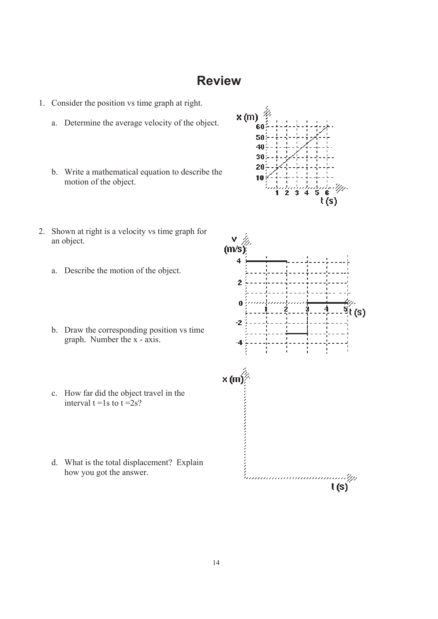### **Review**

- 1. Consider the position vs time graph at right.
	- a. Determine the average velocity of the object.
	- b. Write a mathematical equation to describe the motion of the object.
- 2. Shown at right is a velocity vs time graph for an object.
	- a. Describe the motion of the object.
	- b. Draw the corresponding position vs time graph. Number the x - axis.
	- c. How far did the object travel in the interval  $t = 1s$  to  $t = 2s$ ?
	- d. What is the total displacement? Explain how you got the answer.



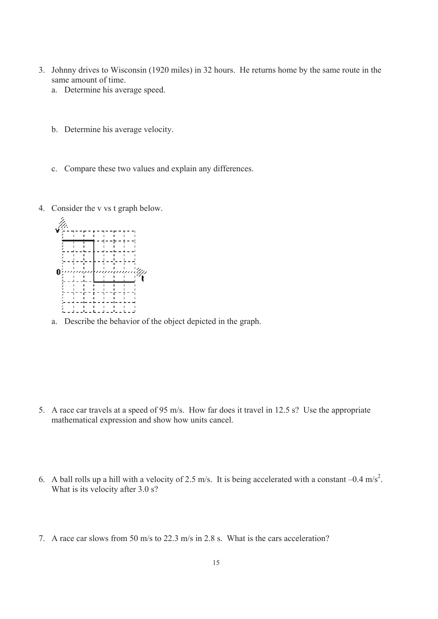- 3. Johnny drives to Wisconsin (1920 miles) in 32 hours. He returns home by the same route in the same amount of time.
	- a. Determine his average speed.
	- b. Determine his average velocity.
	- c. Compare these two values and explain any differences.
- 4. Consider the v vs t graph below.



a. Describe the behavior of the object depicted in the graph.

- 5. A race car travels at a speed of 95 m/s. How far does it travel in 12.5 s? Use the appropriate mathematical expression and show how units cancel.
- 6. A ball rolls up a hill with a velocity of 2.5 m/s. It is being accelerated with a constant  $-0.4$  m/s<sup>2</sup>. What is its velocity after 3.0 s?
- 7. A race car slows from 50 m/s to 22.3 m/s in 2.8 s. What is the cars acceleration?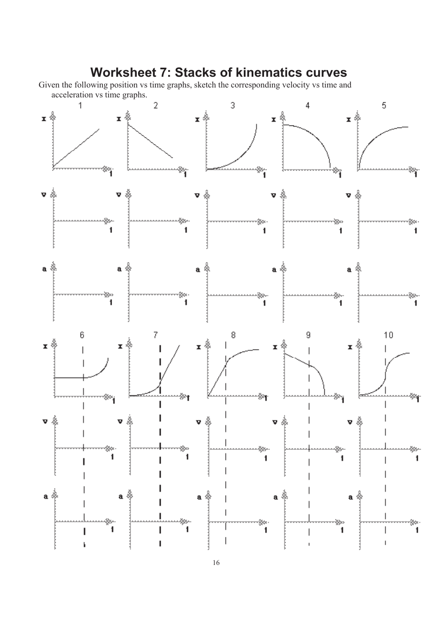## **Worksheet 7: Stacks of kinematics curves**

Given the following position vs time graphs, sketch the corresponding velocity vs time and acceleration vs time graphs.



16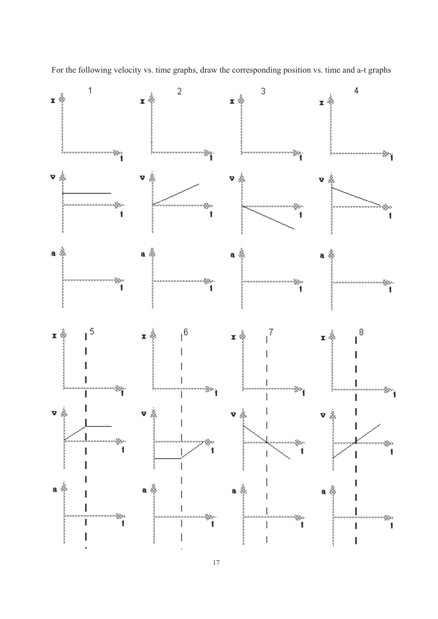

For the following velocity vs. time graphs, draw the corresponding position vs. time and a-t graphs